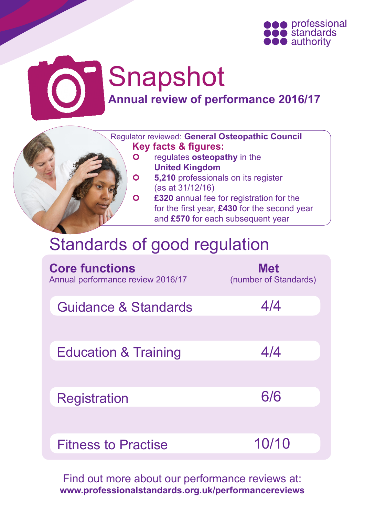

# Snapshot **Annual review of performance 2016/17**

 Regulator reviewed: **General Osteopathic Council Key facts & figures:**

- **o** regulates **osteopathy** in the **United Kingdom**
- **6.210** professionals on its register (as at 31/12/16)
- **220 annual fee for registration for the**  for the first year, **£430** for the second year and **£570** for each subsequent year

## Standards of good regulation

| <b>Core functions</b><br>Annual performance review 2016/17 | <b>Met</b><br>(number of Standards) |
|------------------------------------------------------------|-------------------------------------|
| Guidance & Standards                                       | 4/4                                 |
|                                                            |                                     |
| <b>Education &amp; Training</b>                            | 4/4                                 |
|                                                            |                                     |
| <b>Registration</b>                                        | 6/6                                 |
|                                                            |                                     |
| <b>Fitness to Practise</b>                                 | 10/10                               |

Find out more about our performance reviews at: **www.professionalstandards.org.uk/performancereviews**